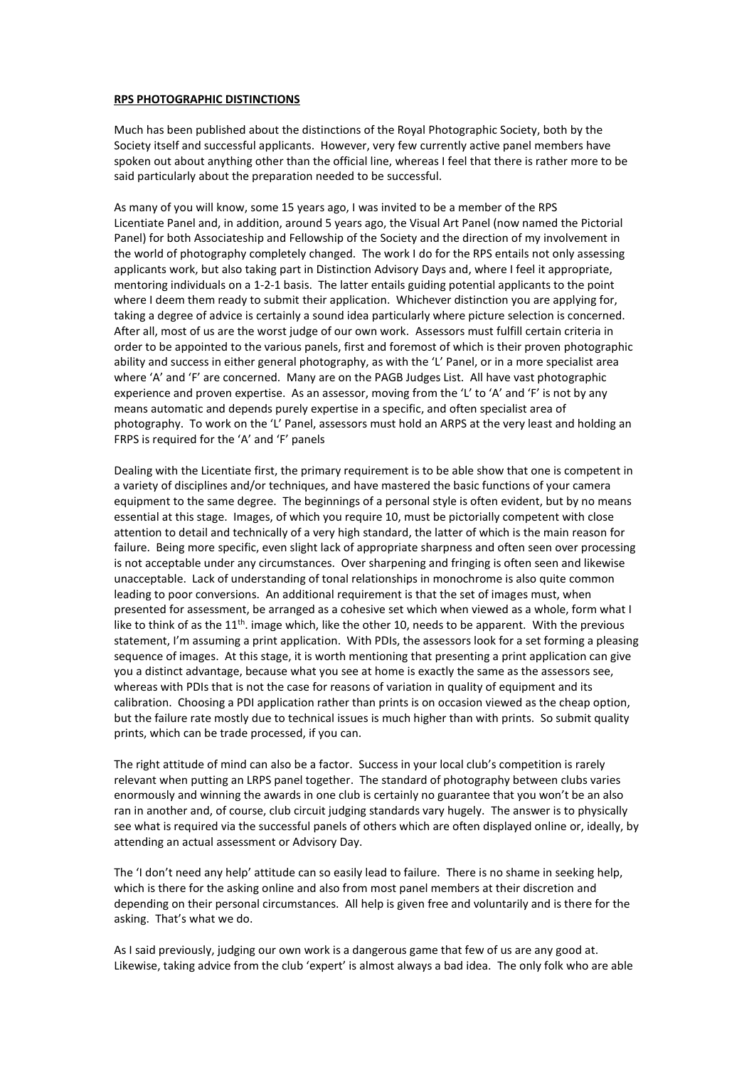## **RPS PHOTOGRAPHIC DISTINCTIONS**

Much has been published about the distinctions of the Royal Photographic Society, both by the Society itself and successful applicants. However, very few currently active panel members have spoken out about anything other than the official line, whereas I feel that there is rather more to be said particularly about the preparation needed to be successful.

As many of you will know, some 15 years ago, I was invited to be a member of the RPS Licentiate Panel and, in addition, around 5 years ago, the Visual Art Panel (now named the Pictorial Panel) for both Associateship and Fellowship of the Society and the direction of my involvement in the world of photography completely changed. The work I do for the RPS entails not only assessing applicants work, but also taking part in Distinction Advisory Days and, where I feel it appropriate, mentoring individuals on a 1-2-1 basis. The latter entails guiding potential applicants to the point where I deem them ready to submit their application. Whichever distinction you are applying for, taking a degree of advice is certainly a sound idea particularly where picture selection is concerned. After all, most of us are the worst judge of our own work. Assessors must fulfill certain criteria in order to be appointed to the various panels, first and foremost of which is their proven photographic ability and success in either general photography, as with the 'L' Panel, or in a more specialist area where 'A' and 'F' are concerned. Many are on the PAGB Judges List. All have vast photographic experience and proven expertise. As an assessor, moving from the 'L' to 'A' and 'F' is not by any means automatic and depends purely expertise in a specific, and often specialist area of photography. To work on the 'L' Panel, assessors must hold an ARPS at the very least and holding an FRPS is required for the 'A' and 'F' panels

Dealing with the Licentiate first, the primary requirement is to be able show that one is competent in a variety of disciplines and/or techniques, and have mastered the basic functions of your camera equipment to the same degree. The beginnings of a personal style is often evident, but by no means essential at this stage. Images, of which you require 10, must be pictorially competent with close attention to detail and technically of a very high standard, the latter of which is the main reason for failure. Being more specific, even slight lack of appropriate sharpness and often seen over processing is not acceptable under any circumstances. Over sharpening and fringing is often seen and likewise unacceptable. Lack of understanding of tonal relationships in monochrome is also quite common leading to poor conversions. An additional requirement is that the set of images must, when presented for assessment, be arranged as a cohesive set which when viewed as a whole, form what I like to think of as the  $11<sup>th</sup>$ . image which, like the other 10, needs to be apparent. With the previous statement, I'm assuming a print application. With PDIs, the assessors look for a set forming a pleasing sequence of images. At this stage, it is worth mentioning that presenting a print application can give you a distinct advantage, because what you see at home is exactly the same as the assessors see, whereas with PDIs that is not the case for reasons of variation in quality of equipment and its calibration. Choosing a PDI application rather than prints is on occasion viewed as the cheap option, but the failure rate mostly due to technical issues is much higher than with prints. So submit quality prints, which can be trade processed, if you can.

The right attitude of mind can also be a factor. Success in your local club's competition is rarely relevant when putting an LRPS panel together. The standard of photography between clubs varies enormously and winning the awards in one club is certainly no guarantee that you won't be an also ran in another and, of course, club circuit judging standards vary hugely. The answer is to physically see what is required via the successful panels of others which are often displayed online or, ideally, by attending an actual assessment or Advisory Day.

The 'I don't need any help' attitude can so easily lead to failure. There is no shame in seeking help, which is there for the asking online and also from most panel members at their discretion and depending on their personal circumstances. All help is given free and voluntarily and is there for the asking. That's what we do.

As I said previously, judging our own work is a dangerous game that few of us are any good at. Likewise, taking advice from the club 'expert' is almost always a bad idea. The only folk who are able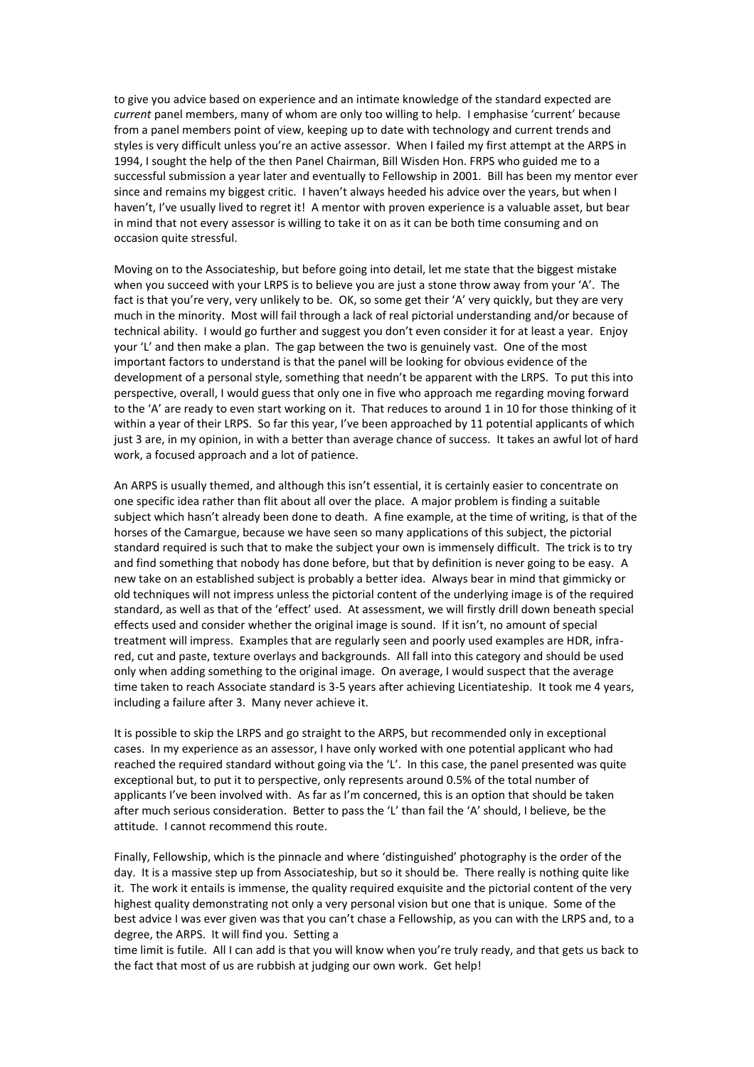to give you advice based on experience and an intimate knowledge of the standard expected are *current* panel members, many of whom are only too willing to help. I emphasise 'current' because from a panel members point of view, keeping up to date with technology and current trends and styles is very difficult unless you're an active assessor. When I failed my first attempt at the ARPS in 1994, I sought the help of the then Panel Chairman, Bill Wisden Hon. FRPS who guided me to a successful submission a year later and eventually to Fellowship in 2001. Bill has been my mentor ever since and remains my biggest critic. I haven't always heeded his advice over the years, but when I haven't, I've usually lived to regret it! A mentor with proven experience is a valuable asset, but bear in mind that not every assessor is willing to take it on as it can be both time consuming and on occasion quite stressful.

Moving on to the Associateship, but before going into detail, let me state that the biggest mistake when you succeed with your LRPS is to believe you are just a stone throw away from your 'A'. The fact is that you're very, very unlikely to be. OK, so some get their 'A' very quickly, but they are very much in the minority. Most will fail through a lack of real pictorial understanding and/or because of technical ability. I would go further and suggest you don't even consider it for at least a year. Enjoy your 'L' and then make a plan. The gap between the two is genuinely vast. One of the most important factors to understand is that the panel will be looking for obvious evidence of the development of a personal style, something that needn't be apparent with the LRPS. To put this into perspective, overall, I would guess that only one in five who approach me regarding moving forward to the 'A' are ready to even start working on it. That reduces to around 1 in 10 for those thinking of it within a year of their LRPS. So far this year, I've been approached by 11 potential applicants of which just 3 are, in my opinion, in with a better than average chance of success. It takes an awful lot of hard work, a focused approach and a lot of patience.

An ARPS is usually themed, and although this isn't essential, it is certainly easier to concentrate on one specific idea rather than flit about all over the place. A major problem is finding a suitable subject which hasn't already been done to death. A fine example, at the time of writing, is that of the horses of the Camargue, because we have seen so many applications of this subject, the pictorial standard required is such that to make the subject your own is immensely difficult. The trick is to try and find something that nobody has done before, but that by definition is never going to be easy. A new take on an established subject is probably a better idea. Always bear in mind that gimmicky or old techniques will not impress unless the pictorial content of the underlying image is of the required standard, as well as that of the 'effect' used. At assessment, we will firstly drill down beneath special effects used and consider whether the original image is sound. If it isn't, no amount of special treatment will impress. Examples that are regularly seen and poorly used examples are HDR, infrared, cut and paste, texture overlays and backgrounds. All fall into this category and should be used only when adding something to the original image. On average, I would suspect that the average time taken to reach Associate standard is 3-5 years after achieving Licentiateship. It took me 4 years, including a failure after 3. Many never achieve it.

It is possible to skip the LRPS and go straight to the ARPS, but recommended only in exceptional cases. In my experience as an assessor, I have only worked with one potential applicant who had reached the required standard without going via the 'L'. In this case, the panel presented was quite exceptional but, to put it to perspective, only represents around 0.5% of the total number of applicants I've been involved with. As far as I'm concerned, this is an option that should be taken after much serious consideration. Better to pass the 'L' than fail the 'A' should, I believe, be the attitude. I cannot recommend this route.

Finally, Fellowship, which is the pinnacle and where 'distinguished' photography is the order of the day. It is a massive step up from Associateship, but so it should be. There really is nothing quite like it. The work it entails is immense, the quality required exquisite and the pictorial content of the very highest quality demonstrating not only a very personal vision but one that is unique. Some of the best advice I was ever given was that you can't chase a Fellowship, as you can with the LRPS and, to a degree, the ARPS. It will find you. Setting a

time limit is futile. All I can add is that you will know when you're truly ready, and that gets us back to the fact that most of us are rubbish at judging our own work. Get help!